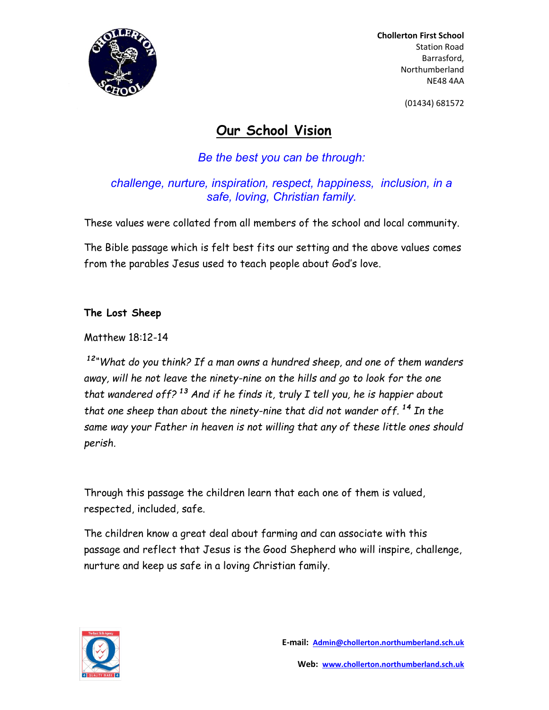

 Chollerton First School Station Road Barrasford, Northumberland NE48 4AA

(01434) 681572

## Our School Vision

Be the best you can be through:

challenge, nurture, inspiration, respect, happiness, inclusion, in a safe, loving, Christian family.

These values were collated from all members of the school and local community.

The Bible passage which is felt best fits our setting and the above values comes from the parables Jesus used to teach people about God's love.

## The Lost Sheep

Matthew 18:12-14

<sup>12</sup>"What do you think? If a man owns a hundred sheep, and one of them wanders away, will he not leave the ninety-nine on the hills and go to look for the one that wandered off?<sup>13</sup> And if he finds it, truly I tell you, he is happier about that one sheep than about the ninety-nine that did not wander off.  $^{14}$  In the same way your Father in heaven is not willing that any of these little ones should perish.

Through this passage the children learn that each one of them is valued, respected, included, safe.

The children know a great deal about farming and can associate with this passage and reflect that Jesus is the Good Shepherd who will inspire, challenge, nurture and keep us safe in a loving Christian family.